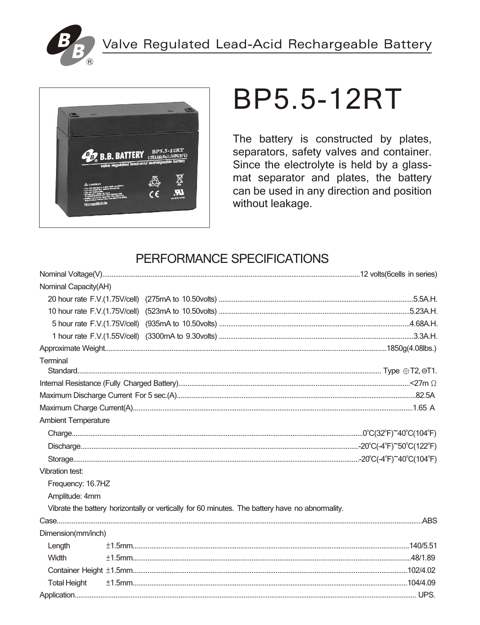



# **BP5.5-12RT**

The battery is constructed by plates, separators, safety valves and container. Since the electrolyte is held by a glassmat separator and plates, the battery can be used in any direction and position without leakage.

## PERFORMANCE SPECIFICATIONS

| Nominal Capacity(AH)       |                                                                                                 |  |
|----------------------------|-------------------------------------------------------------------------------------------------|--|
|                            |                                                                                                 |  |
|                            |                                                                                                 |  |
|                            |                                                                                                 |  |
|                            |                                                                                                 |  |
|                            |                                                                                                 |  |
| Terminal                   |                                                                                                 |  |
|                            |                                                                                                 |  |
|                            |                                                                                                 |  |
|                            |                                                                                                 |  |
|                            |                                                                                                 |  |
| <b>Ambient Temperature</b> |                                                                                                 |  |
|                            |                                                                                                 |  |
|                            |                                                                                                 |  |
|                            |                                                                                                 |  |
| Vibration test:            |                                                                                                 |  |
| Frequency: 16.7HZ          |                                                                                                 |  |
| Amplitude: 4mm             |                                                                                                 |  |
|                            | Vibrate the battery horizontally or vertically for 60 minutes. The battery have no abnormality. |  |
|                            |                                                                                                 |  |
| Dimension(mm/inch)         |                                                                                                 |  |
| Length                     |                                                                                                 |  |
| Width                      |                                                                                                 |  |
|                            |                                                                                                 |  |
| <b>Total Height</b>        |                                                                                                 |  |
|                            |                                                                                                 |  |